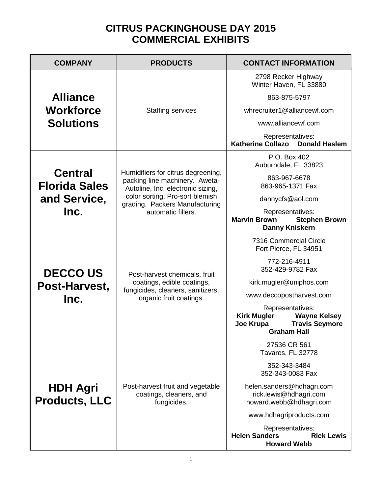## **CITRUS PACKINGHOUSE DAY 2015 COMMERCIAL EXHIBITS**

| <b>COMPANY</b>                                          | <b>PRODUCTS</b>                                                                                                                                                                                      | <b>CONTACT INFORMATION</b>                                                                                                |
|---------------------------------------------------------|------------------------------------------------------------------------------------------------------------------------------------------------------------------------------------------------------|---------------------------------------------------------------------------------------------------------------------------|
| <b>Alliance</b><br><b>Workforce</b><br><b>Solutions</b> | <b>Staffing services</b>                                                                                                                                                                             | 2798 Recker Highway<br>Winter Haven, FL 33880                                                                             |
|                                                         |                                                                                                                                                                                                      | 863-875-5797                                                                                                              |
|                                                         |                                                                                                                                                                                                      | whrecruiter1@alliancewf.com                                                                                               |
|                                                         |                                                                                                                                                                                                      | www.alliancewf.com                                                                                                        |
|                                                         |                                                                                                                                                                                                      | Representatives:<br><b>Katherine Collazo</b><br><b>Donald Haslem</b>                                                      |
| <b>Central</b><br><b>Florida Sales</b>                  | Humidifiers for citrus degreening,<br>packing line machinery. Aweta-<br>Autoline, Inc. electronic sizing,<br>color sorting, Pro-sort blemish<br>grading. Packers Manufacturing<br>automatic fillers. | P.O. Box 402<br>Auburndale, FL 33823                                                                                      |
|                                                         |                                                                                                                                                                                                      | 863-967-6678<br>863-965-1371 Fax                                                                                          |
| and Service,                                            |                                                                                                                                                                                                      | dannycfs@aol.com                                                                                                          |
| Inc.                                                    |                                                                                                                                                                                                      | Representatives:<br><b>Marvin Brown</b><br><b>Stephen Brown</b><br><b>Danny Kniskern</b>                                  |
| <b>DECCOUS</b><br>Post-Harvest,                         | Post-harvest chemicals, fruit<br>coatings, edible coatings,<br>fungicides, cleaners, sanitizers,<br>organic fruit coatings.                                                                          | 7316 Commercial Circle<br>Fort Pierce, FL 34951                                                                           |
|                                                         |                                                                                                                                                                                                      | 772-216-4911<br>352-429-9782 Fax                                                                                          |
|                                                         |                                                                                                                                                                                                      | kirk.mugler@uniphos.com                                                                                                   |
| Inc.                                                    |                                                                                                                                                                                                      | www.deccopostharvest.com                                                                                                  |
|                                                         |                                                                                                                                                                                                      | Representatives:<br><b>Kirk Mugler</b><br><b>Wayne Kelsey</b><br><b>Travis Seymore</b><br>Joe Krupa<br><b>Graham Hall</b> |
| <b>HDH Agri</b><br><b>Products, LLC</b>                 | Post-harvest fruit and vegetable<br>coatings, cleaners, and<br>fungicides.                                                                                                                           | 27536 CR 561<br>Tavares, FL 32778                                                                                         |
|                                                         |                                                                                                                                                                                                      | 352-343-3484<br>352-343-0083 Fax                                                                                          |
|                                                         |                                                                                                                                                                                                      | helen.sanders@hdhagri.com<br>rick.lewis@hdhagri.com<br>howard.webb@hdhagri.com                                            |
|                                                         |                                                                                                                                                                                                      | www.hdhagriproducts.com                                                                                                   |
|                                                         |                                                                                                                                                                                                      | Representatives:<br><b>Helen Sanders</b><br><b>Rick Lewis</b><br><b>Howard Webb</b>                                       |